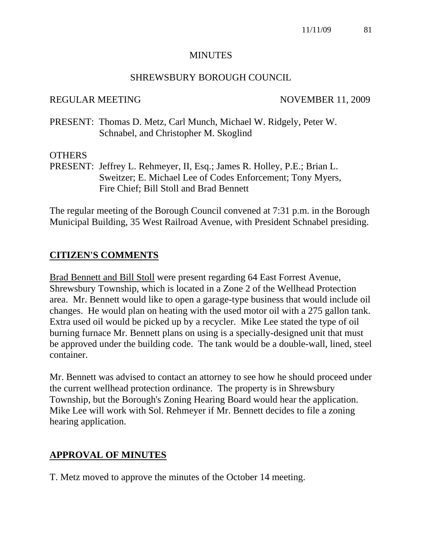#### **MINUTES**

#### SHREWSBURY BOROUGH COUNCIL

#### REGULAR MEETING NOVEMBER 11, 2009

PRESENT: Thomas D. Metz, Carl Munch, Michael W. Ridgely, Peter W. Schnabel, and Christopher M. Skoglind

#### **OTHERS**

PRESENT: Jeffrey L. Rehmeyer, II, Esq.; James R. Holley, P.E.; Brian L. Sweitzer; E. Michael Lee of Codes Enforcement; Tony Myers, Fire Chief; Bill Stoll and Brad Bennett

The regular meeting of the Borough Council convened at 7:31 p.m. in the Borough Municipal Building, 35 West Railroad Avenue, with President Schnabel presiding.

#### **CITIZEN'S COMMENTS**

Brad Bennett and Bill Stoll were present regarding 64 East Forrest Avenue, Shrewsbury Township, which is located in a Zone 2 of the Wellhead Protection area. Mr. Bennett would like to open a garage-type business that would include oil changes. He would plan on heating with the used motor oil with a 275 gallon tank. Extra used oil would be picked up by a recycler. Mike Lee stated the type of oil burning furnace Mr. Bennett plans on using is a specially-designed unit that must be approved under the building code. The tank would be a double-wall, lined, steel container.

Mr. Bennett was advised to contact an attorney to see how he should proceed under the current wellhead protection ordinance. The property is in Shrewsbury Township, but the Borough's Zoning Hearing Board would hear the application. Mike Lee will work with Sol. Rehmeyer if Mr. Bennett decides to file a zoning hearing application.

#### **APPROVAL OF MINUTES**

T. Metz moved to approve the minutes of the October 14 meeting.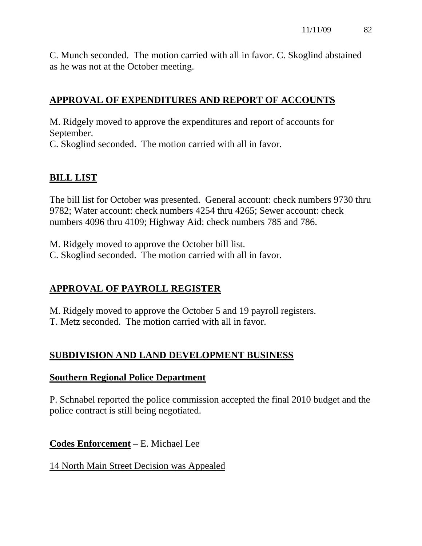C. Munch seconded. The motion carried with all in favor. C. Skoglind abstained as he was not at the October meeting.

# **APPROVAL OF EXPENDITURES AND REPORT OF ACCOUNTS**

M. Ridgely moved to approve the expenditures and report of accounts for September.

C. Skoglind seconded. The motion carried with all in favor.

# **BILL LIST**

The bill list for October was presented. General account: check numbers 9730 thru 9782; Water account: check numbers 4254 thru 4265; Sewer account: check numbers 4096 thru 4109; Highway Aid: check numbers 785 and 786.

M. Ridgely moved to approve the October bill list. C. Skoglind seconded. The motion carried with all in favor.

# **APPROVAL OF PAYROLL REGISTER**

M. Ridgely moved to approve the October 5 and 19 payroll registers. T. Metz seconded. The motion carried with all in favor.

# **SUBDIVISION AND LAND DEVELOPMENT BUSINESS**

#### **Southern Regional Police Department**

P. Schnabel reported the police commission accepted the final 2010 budget and the police contract is still being negotiated.

**Codes Enforcement** – E. Michael Lee

# 14 North Main Street Decision was Appealed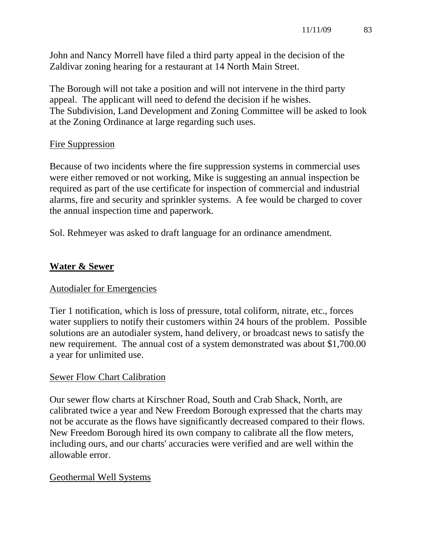John and Nancy Morrell have filed a third party appeal in the decision of the Zaldivar zoning hearing for a restaurant at 14 North Main Street.

The Borough will not take a position and will not intervene in the third party appeal. The applicant will need to defend the decision if he wishes. The Subdivision, Land Development and Zoning Committee will be asked to look at the Zoning Ordinance at large regarding such uses.

#### Fire Suppression

Because of two incidents where the fire suppression systems in commercial uses were either removed or not working, Mike is suggesting an annual inspection be required as part of the use certificate for inspection of commercial and industrial alarms, fire and security and sprinkler systems. A fee would be charged to cover the annual inspection time and paperwork.

Sol. Rehmeyer was asked to draft language for an ordinance amendment.

# **Water & Sewer**

#### Autodialer for Emergencies

Tier 1 notification, which is loss of pressure, total coliform, nitrate, etc., forces water suppliers to notify their customers within 24 hours of the problem. Possible solutions are an autodialer system, hand delivery, or broadcast news to satisfy the new requirement. The annual cost of a system demonstrated was about \$1,700.00 a year for unlimited use.

# Sewer Flow Chart Calibration

Our sewer flow charts at Kirschner Road, South and Crab Shack, North, are calibrated twice a year and New Freedom Borough expressed that the charts may not be accurate as the flows have significantly decreased compared to their flows. New Freedom Borough hired its own company to calibrate all the flow meters, including ours, and our charts' accuracies were verified and are well within the allowable error.

#### Geothermal Well Systems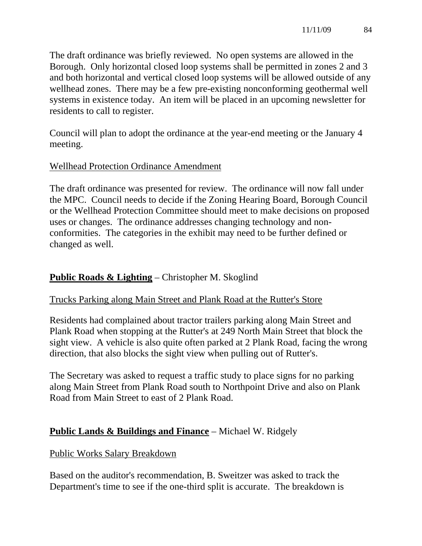The draft ordinance was briefly reviewed. No open systems are allowed in the Borough. Only horizontal closed loop systems shall be permitted in zones 2 and 3 and both horizontal and vertical closed loop systems will be allowed outside of any wellhead zones. There may be a few pre-existing nonconforming geothermal well systems in existence today. An item will be placed in an upcoming newsletter for residents to call to register.

Council will plan to adopt the ordinance at the year-end meeting or the January 4 meeting.

## Wellhead Protection Ordinance Amendment

The draft ordinance was presented for review. The ordinance will now fall under the MPC. Council needs to decide if the Zoning Hearing Board, Borough Council or the Wellhead Protection Committee should meet to make decisions on proposed uses or changes. The ordinance addresses changing technology and nonconformities. The categories in the exhibit may need to be further defined or changed as well.

# **Public Roads & Lighting** – Christopher M. Skoglind

# Trucks Parking along Main Street and Plank Road at the Rutter's Store

Residents had complained about tractor trailers parking along Main Street and Plank Road when stopping at the Rutter's at 249 North Main Street that block the sight view. A vehicle is also quite often parked at 2 Plank Road, facing the wrong direction, that also blocks the sight view when pulling out of Rutter's.

The Secretary was asked to request a traffic study to place signs for no parking along Main Street from Plank Road south to Northpoint Drive and also on Plank Road from Main Street to east of 2 Plank Road.

# **Public Lands & Buildings and Finance** – Michael W. Ridgely

#### Public Works Salary Breakdown

Based on the auditor's recommendation, B. Sweitzer was asked to track the Department's time to see if the one-third split is accurate. The breakdown is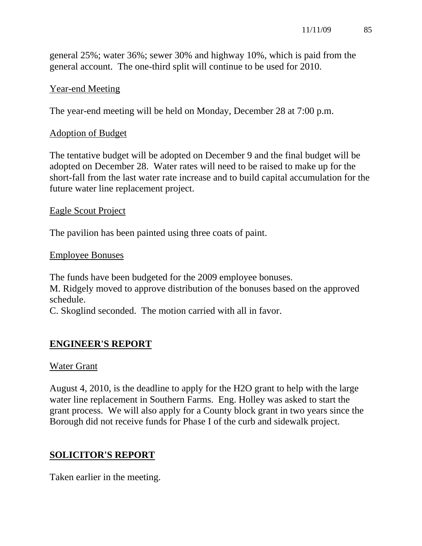general 25%; water 36%; sewer 30% and highway 10%, which is paid from the general account. The one-third split will continue to be used for 2010.

#### Year-end Meeting

The year-end meeting will be held on Monday, December 28 at 7:00 p.m.

#### Adoption of Budget

The tentative budget will be adopted on December 9 and the final budget will be adopted on December 28. Water rates will need to be raised to make up for the short-fall from the last water rate increase and to build capital accumulation for the future water line replacement project.

#### Eagle Scout Project

The pavilion has been painted using three coats of paint.

#### Employee Bonuses

The funds have been budgeted for the 2009 employee bonuses. M. Ridgely moved to approve distribution of the bonuses based on the approved schedule.

C. Skoglind seconded. The motion carried with all in favor.

# **ENGINEER'S REPORT**

#### Water Grant

August 4, 2010, is the deadline to apply for the H2O grant to help with the large water line replacement in Southern Farms. Eng. Holley was asked to start the grant process. We will also apply for a County block grant in two years since the Borough did not receive funds for Phase I of the curb and sidewalk project.

# **SOLICITOR'S REPORT**

Taken earlier in the meeting.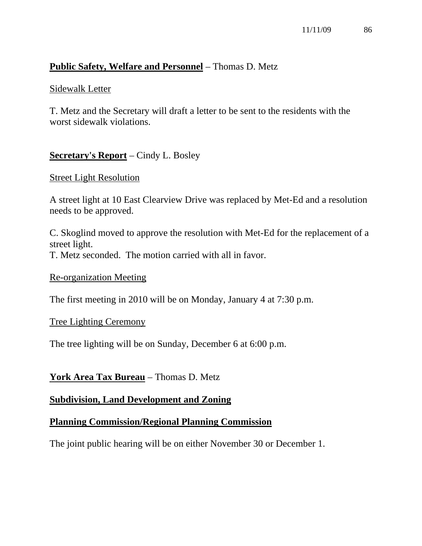#### **Public Safety, Welfare and Personnel** – Thomas D. Metz

#### Sidewalk Letter

T. Metz and the Secretary will draft a letter to be sent to the residents with the worst sidewalk violations.

## **Secretary's Report** – Cindy L. Bosley

#### Street Light Resolution

A street light at 10 East Clearview Drive was replaced by Met-Ed and a resolution needs to be approved.

C. Skoglind moved to approve the resolution with Met-Ed for the replacement of a street light.

T. Metz seconded. The motion carried with all in favor.

#### Re-organization Meeting

The first meeting in 2010 will be on Monday, January 4 at 7:30 p.m.

#### Tree Lighting Ceremony

The tree lighting will be on Sunday, December 6 at 6:00 p.m.

#### **York Area Tax Bureau** – Thomas D. Metz

#### **Subdivision, Land Development and Zoning**

#### **Planning Commission/Regional Planning Commission**

The joint public hearing will be on either November 30 or December 1.